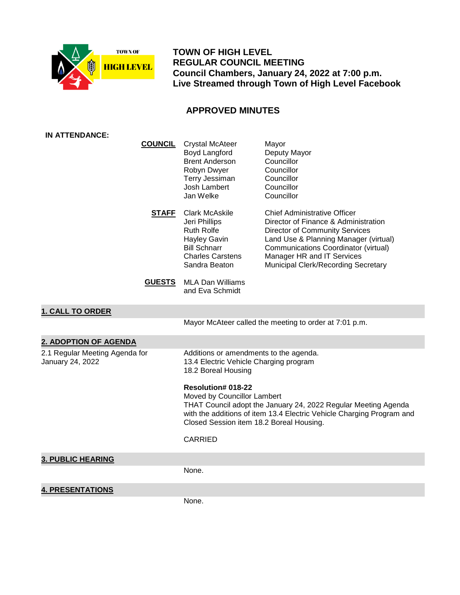

 **TOWN OF HIGH LEVEL REGULAR COUNCIL MEETING Council Chambers, January 24, 2022 at 7:00 p.m. Live Streamed through Town of High Level Facebook**

# **APPROVED MINUTES**

| IN ATTENDANCE:                                     |                                                                                                                                                                                                                                                 |                                                                                                                                                                                                                                                                     |
|----------------------------------------------------|-------------------------------------------------------------------------------------------------------------------------------------------------------------------------------------------------------------------------------------------------|---------------------------------------------------------------------------------------------------------------------------------------------------------------------------------------------------------------------------------------------------------------------|
| <b>COUNCIL</b>                                     | <b>Crystal McAteer</b><br>Boyd Langford<br><b>Brent Anderson</b><br>Robyn Dwyer<br>Terry Jessiman<br>Josh Lambert<br>Jan Welke                                                                                                                  | Mayor<br>Deputy Mayor<br>Councillor<br>Councillor<br>Councillor<br>Councillor<br>Councillor                                                                                                                                                                         |
| <b>STAFF</b>                                       | <b>Clark McAskile</b><br>Jeri Phillips<br><b>Ruth Rolfe</b><br>Hayley Gavin<br><b>Bill Schnarr</b><br><b>Charles Carstens</b><br>Sandra Beaton                                                                                                  | Chief Administrative Officer<br>Director of Finance & Administration<br><b>Director of Community Services</b><br>Land Use & Planning Manager (virtual)<br>Communications Coordinator (virtual)<br>Manager HR and IT Services<br>Municipal Clerk/Recording Secretary |
| <b>GUESTS</b>                                      | <b>MLA Dan Williams</b><br>and Eva Schmidt                                                                                                                                                                                                      |                                                                                                                                                                                                                                                                     |
| <b>1. CALL TO ORDER</b>                            |                                                                                                                                                                                                                                                 |                                                                                                                                                                                                                                                                     |
|                                                    |                                                                                                                                                                                                                                                 | Mayor McAteer called the meeting to order at 7:01 p.m.                                                                                                                                                                                                              |
| 2. ADOPTION OF AGENDA                              |                                                                                                                                                                                                                                                 |                                                                                                                                                                                                                                                                     |
| 2.1 Regular Meeting Agenda for<br>January 24, 2022 | Additions or amendments to the agenda.<br>13.4 Electric Vehicle Charging program<br>18.2 Boreal Housing                                                                                                                                         |                                                                                                                                                                                                                                                                     |
|                                                    | <b>Resolution# 018-22</b><br>Moved by Councillor Lambert<br>THAT Council adopt the January 24, 2022 Regular Meeting Agenda<br>with the additions of item 13.4 Electric Vehicle Charging Program and<br>Closed Session item 18.2 Boreal Housing. |                                                                                                                                                                                                                                                                     |
|                                                    | <b>CARRIED</b>                                                                                                                                                                                                                                  |                                                                                                                                                                                                                                                                     |
| <b>3. PUBLIC HEARING</b>                           |                                                                                                                                                                                                                                                 |                                                                                                                                                                                                                                                                     |
|                                                    | None.                                                                                                                                                                                                                                           |                                                                                                                                                                                                                                                                     |
| <b>4. PRESENTATIONS</b>                            |                                                                                                                                                                                                                                                 |                                                                                                                                                                                                                                                                     |
|                                                    | None.                                                                                                                                                                                                                                           |                                                                                                                                                                                                                                                                     |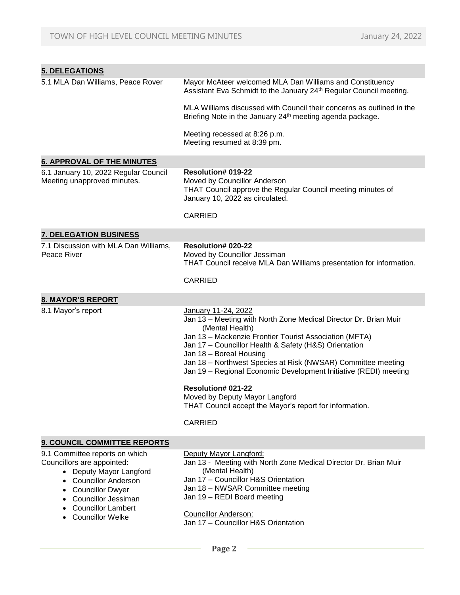| <b>5. DELEGATIONS</b>                                                                                                                                                                                                                  |                                                                                                                                                                                                                                                                                                                                                                                                                                                                                                                                   |
|----------------------------------------------------------------------------------------------------------------------------------------------------------------------------------------------------------------------------------------|-----------------------------------------------------------------------------------------------------------------------------------------------------------------------------------------------------------------------------------------------------------------------------------------------------------------------------------------------------------------------------------------------------------------------------------------------------------------------------------------------------------------------------------|
| 5.1 MLA Dan Williams, Peace Rover                                                                                                                                                                                                      | Mayor McAteer welcomed MLA Dan Williams and Constituency<br>Assistant Eva Schmidt to the January 24th Regular Council meeting.                                                                                                                                                                                                                                                                                                                                                                                                    |
|                                                                                                                                                                                                                                        | MLA Williams discussed with Council their concerns as outlined in the<br>Briefing Note in the January 24 <sup>th</sup> meeting agenda package.                                                                                                                                                                                                                                                                                                                                                                                    |
|                                                                                                                                                                                                                                        | Meeting recessed at 8:26 p.m.<br>Meeting resumed at 8:39 pm.                                                                                                                                                                                                                                                                                                                                                                                                                                                                      |
| <b>6. APPROVAL OF THE MINUTES</b>                                                                                                                                                                                                      |                                                                                                                                                                                                                                                                                                                                                                                                                                                                                                                                   |
| 6.1 January 10, 2022 Regular Council<br>Meeting unapproved minutes.                                                                                                                                                                    | <b>Resolution# 019-22</b><br>Moved by Councillor Anderson<br>THAT Council approve the Regular Council meeting minutes of<br>January 10, 2022 as circulated.                                                                                                                                                                                                                                                                                                                                                                       |
|                                                                                                                                                                                                                                        | <b>CARRIED</b>                                                                                                                                                                                                                                                                                                                                                                                                                                                                                                                    |
| <b>7. DELEGATION BUSINESS</b>                                                                                                                                                                                                          |                                                                                                                                                                                                                                                                                                                                                                                                                                                                                                                                   |
| 7.1 Discussion with MLA Dan Williams,<br>Peace River                                                                                                                                                                                   | <b>Resolution# 020-22</b><br>Moved by Councillor Jessiman<br>THAT Council receive MLA Dan Williams presentation for information.                                                                                                                                                                                                                                                                                                                                                                                                  |
|                                                                                                                                                                                                                                        | <b>CARRIED</b>                                                                                                                                                                                                                                                                                                                                                                                                                                                                                                                    |
| <b>8. MAYOR'S REPORT</b>                                                                                                                                                                                                               |                                                                                                                                                                                                                                                                                                                                                                                                                                                                                                                                   |
| 8.1 Mayor's report                                                                                                                                                                                                                     | January 11-24, 2022<br>Jan 13 - Meeting with North Zone Medical Director Dr. Brian Muir<br>(Mental Health)<br>Jan 13 - Mackenzie Frontier Tourist Association (MFTA)<br>Jan 17 - Councillor Health & Safety (H&S) Orientation<br>Jan 18 - Boreal Housing<br>Jan 18 - Northwest Species at Risk (NWSAR) Committee meeting<br>Jan 19 - Regional Economic Development Initiative (REDI) meeting<br>Resolution# 021-22<br>Moved by Deputy Mayor Langford<br>THAT Council accept the Mayor's report for information.<br><b>CARRIED</b> |
| 9. COUNCIL COMMITTEE REPORTS                                                                                                                                                                                                           |                                                                                                                                                                                                                                                                                                                                                                                                                                                                                                                                   |
| 9.1 Committee reports on which<br>Councillors are appointed:<br>• Deputy Mayor Langford<br><b>Councillor Anderson</b><br><b>Councillor Dwyer</b><br><b>Councillor Jessiman</b><br><b>Councillor Lambert</b><br><b>Councillor Welke</b> | Deputy Mayor Langford:<br>Jan 13 - Meeting with North Zone Medical Director Dr. Brian Muir<br>(Mental Health)<br>Jan 17 - Councillor H&S Orientation<br>Jan 18 - NWSAR Committee meeting<br>Jan 19 - REDI Board meeting<br><b>Councillor Anderson:</b><br>Jan 17 - Councillor H&S Orientation                                                                                                                                                                                                                                     |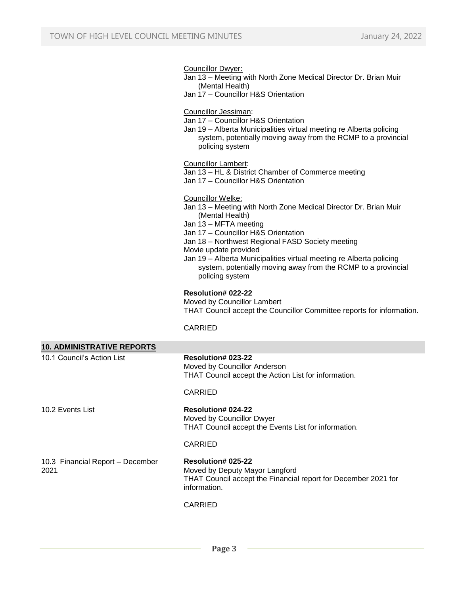Councillor Dwyer:

Jan 13 – Meeting with North Zone Medical Director Dr. Brian Muir (Mental Health)

Jan 17 – Councillor H&S Orientation

Councillor Jessiman:

- Jan 17 Councillor H&S Orientation
- Jan 19 Alberta Municipalities virtual meeting re Alberta policing system, potentially moving away from the RCMP to a provincial policing system

Councillor Lambert:

- Jan 13 HL & District Chamber of Commerce meeting
- Jan 17 Councillor H&S Orientation

#### Councillor Welke:

- Jan 13 Meeting with North Zone Medical Director Dr. Brian Muir (Mental Health)
- Jan 13 MFTA meeting
- Jan 17 Councillor H&S Orientation
- Jan 18 Northwest Regional FASD Society meeting
- Movie update provided
- Jan 19 Alberta Municipalities virtual meeting re Alberta policing system, potentially moving away from the RCMP to a provincial policing system

### **Resolution# 022-22**

Moved by Councillor Lambert THAT Council accept the Councillor Committee reports for information.

CARRIED

| <b>10. ADMINISTRATIVE REPORTS</b>        |                                                                                                                                               |
|------------------------------------------|-----------------------------------------------------------------------------------------------------------------------------------------------|
| 10.1 Council's Action List               | Resolution# 023-22<br>Moved by Councillor Anderson<br>THAT Council accept the Action List for information.                                    |
|                                          | CARRIED                                                                                                                                       |
| 10.2 Events List                         | Resolution# 024-22<br>Moved by Councillor Dwyer<br>THAT Council accept the Events List for information.<br>CARRIED                            |
|                                          |                                                                                                                                               |
| 10.3 Financial Report - December<br>2021 | <b>Resolution# 025-22</b><br>Moved by Deputy Mayor Langford<br>THAT Council accept the Financial report for December 2021 for<br>information. |
|                                          | CARRIED                                                                                                                                       |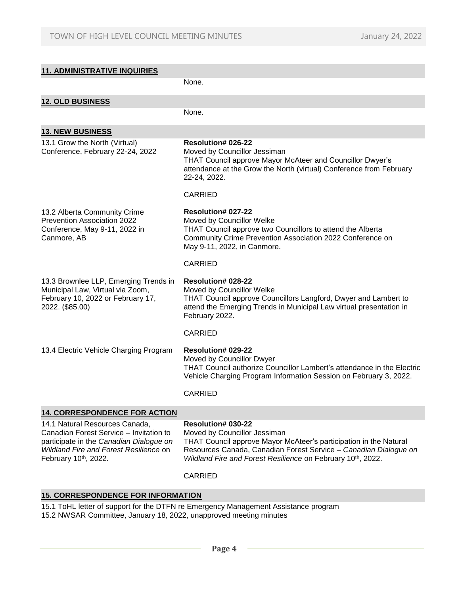| <b>11. ADMINISTRATIVE INQUIRIES</b>                                                                                                                                                    |                                                                                                                                                                                                                                                            |
|----------------------------------------------------------------------------------------------------------------------------------------------------------------------------------------|------------------------------------------------------------------------------------------------------------------------------------------------------------------------------------------------------------------------------------------------------------|
|                                                                                                                                                                                        | None.                                                                                                                                                                                                                                                      |
| <b>12. OLD BUSINESS</b>                                                                                                                                                                |                                                                                                                                                                                                                                                            |
|                                                                                                                                                                                        | None.                                                                                                                                                                                                                                                      |
| <b>13. NEW BUSINESS</b>                                                                                                                                                                |                                                                                                                                                                                                                                                            |
| 13.1 Grow the North (Virtual)<br>Conference, February 22-24, 2022                                                                                                                      | Resolution# 026-22<br>Moved by Councillor Jessiman<br>THAT Council approve Mayor McAteer and Councillor Dwyer's<br>attendance at the Grow the North (virtual) Conference from February<br>22-24, 2022.                                                     |
|                                                                                                                                                                                        | <b>CARRIED</b>                                                                                                                                                                                                                                             |
| 13.2 Alberta Community Crime<br>Prevention Association 2022<br>Conference, May 9-11, 2022 in<br>Canmore, AB                                                                            | <b>Resolution# 027-22</b><br>Moved by Councillor Welke<br>THAT Council approve two Councillors to attend the Alberta<br>Community Crime Prevention Association 2022 Conference on<br>May 9-11, 2022, in Canmore.                                           |
|                                                                                                                                                                                        | <b>CARRIED</b>                                                                                                                                                                                                                                             |
| 13.3 Brownlee LLP, Emerging Trends in<br>Municipal Law, Virtual via Zoom,<br>February 10, 2022 or February 17,<br>2022. (\$85.00)                                                      | Resolution# 028-22<br>Moved by Councillor Welke<br>THAT Council approve Councillors Langford, Dwyer and Lambert to<br>attend the Emerging Trends in Municipal Law virtual presentation in<br>February 2022.                                                |
|                                                                                                                                                                                        | <b>CARRIED</b>                                                                                                                                                                                                                                             |
| 13.4 Electric Vehicle Charging Program                                                                                                                                                 | Resolution# 029-22<br>Moved by Councillor Dwyer<br>THAT Council authorize Councillor Lambert's attendance in the Electric<br>Vehicle Charging Program Information Session on February 3, 2022.<br><b>CARRIED</b>                                           |
|                                                                                                                                                                                        |                                                                                                                                                                                                                                                            |
| <b>14. CORRESPONDENCE FOR ACTION</b>                                                                                                                                                   |                                                                                                                                                                                                                                                            |
| 14.1 Natural Resources Canada,<br>Canadian Forest Service - Invitation to<br>participate in the Canadian Dialogue on<br>Wildland Fire and Forest Resilience on<br>February 10th, 2022. | Resolution# 030-22<br>Moved by Councillor Jessiman<br>THAT Council approve Mayor McAteer's participation in the Natural<br>Resources Canada, Canadian Forest Service - Canadian Dialogue on<br>Wildland Fire and Forest Resilience on February 10th, 2022. |

### CARRIED

# **15. CORRESPONDENCE FOR INFORMATION**

- 15.1 ToHL letter of support for the DTFN re Emergency Management Assistance program
- 15.2 NWSAR Committee, January 18, 2022, unapproved meeting minutes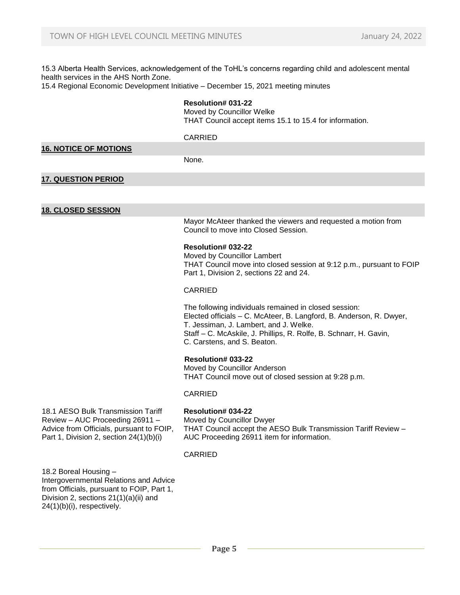15.3 Alberta Health Services, acknowledgement of the ToHL's concerns regarding child and adolescent mental health services in the AHS North Zone.

15.4 Regional Economic Development Initiative – December 15, 2021 meeting minutes

#### **Resolution# 031-22**

Moved by Councillor Welke THAT Council accept items 15.1 to 15.4 for information.

### CARRIED

### **16. NOTICE OF MOTIONS**

None.

### **17. QUESTION PERIOD**

### **18. CLOSED SESSION**

Mayor McAteer thanked the viewers and requested a motion from Council to move into Closed Session.

#### **Resolution# 032-22**

Moved by Councillor Lambert THAT Council move into closed session at 9:12 p.m., pursuant to FOIP Part 1, Division 2, sections 22 and 24.

### CARRIED

The following individuals remained in closed session: Elected officials – C. McAteer, B. Langford, B. Anderson, R. Dwyer, T. Jessiman, J. Lambert, and J. Welke. Staff – C. McAskile, J. Phillips, R. Rolfe, B. Schnarr, H. Gavin, C. Carstens, and S. Beaton.

### **Resolution# 033-22**

Moved by Councillor Anderson THAT Council move out of closed session at 9:28 p.m.

#### CARRIED

18.1 AESO Bulk Transmission Tariff Review – AUC Proceeding 26911 – Advice from Officials, pursuant to FOIP, Part 1, Division 2, section 24(1)(b)(i)

**Resolution# 034-22** Moved by Councillor Dwyer THAT Council accept the AESO Bulk Transmission Tariff Review – AUC Proceeding 26911 item for information.

#### CARRIED

18.2 Boreal Housing – Intergovernmental Relations and Advice from Officials, pursuant to FOIP, Part 1, Division 2, sections 21(1)(a)(ii) and 24(1)(b)(i), respectively.